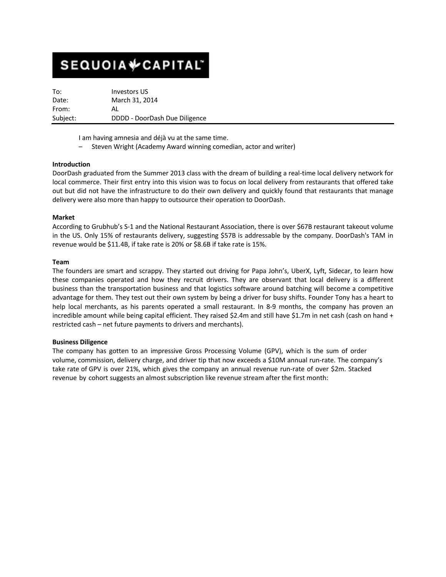# **SEQUOIA**VCAPITAL

To: Investors US Date: March 31, 2014 From: AL Subject: DDDD - DoorDash Due Diligence

I am having amnesia and déjà vu at the same time.

– Steven Wright (Academy Award winning comedian, actor and writer)

# **Introduction**

DoorDash graduated from the Summer 2013 class with the dream of building a real-time local delivery network for local commerce. Their first entry into this vision was to focus on local delivery from restaurants that offered take out but did not have the infrastructure to do their own delivery and quickly found that restaurants that manage delivery were also more than happy to outsource their operation to DoorDash.

# **Market**

According to Grubhub's S-1 and the National Restaurant Association, there is over \$67B restaurant takeout volume in the US. Only 15% of restaurants delivery, suggesting \$57B is addressable by the company. DoorDash's TAM in revenue would be \$11.4B, if take rate is 20% or \$8.6B if take rate is 15%.

# **Team**

The founders are smart and scrappy. They started out driving for Papa John's, UberX, Lyft, Sidecar, to learn how these companies operated and how they recruit drivers. They are observant that local delivery is a different business than the transportation business and that logistics software around batching will become a competitive advantage for them. They test out their own system by being a driver for busy shifts. Founder Tony has a heart to help local merchants, as his parents operated a small restaurant. In 8-9 months, the company has proven an incredible amount while being capital efficient. They raised \$2.4m and still have \$1.7m in net cash (cash on hand + restricted cash – net future payments to drivers and merchants).

# **Business Diligence**

The company has gotten to an impressive Gross Processing Volume (GPV), which is the sum of order volume, commission, delivery charge, and driver tip that now exceeds a \$10M annual run-rate. The company's take rate of GPV is over 21%, which gives the company an annual revenue run-rate of over \$2m. Stacked revenue by cohort suggests an almost subscription like revenue stream after the first month: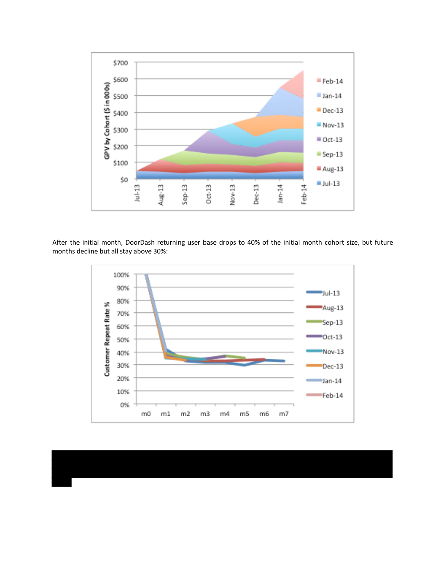

After the initial month, DoorDash returning user base drops to 40% of the initial month cohort size, but future months decline but all stay above 30%:

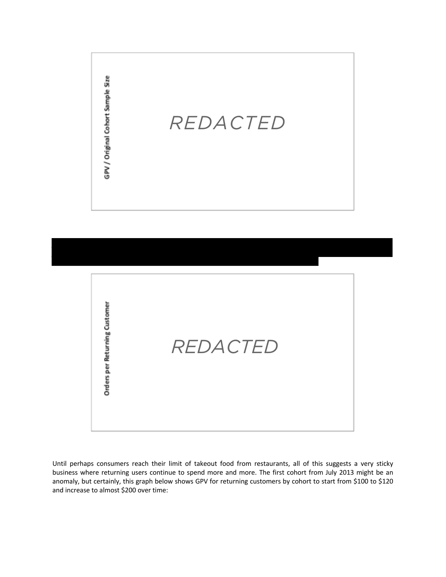



Until perhaps consumers reach their limit of takeout food from restaurants, all of this suggests a very sticky business where returning users continue to spend more and more. The first cohort from July 2013 might be an anomaly, but certainly, this graph below shows GPV for returning customers by cohort to start from \$100 to \$120 and increase to almost \$200 over time: